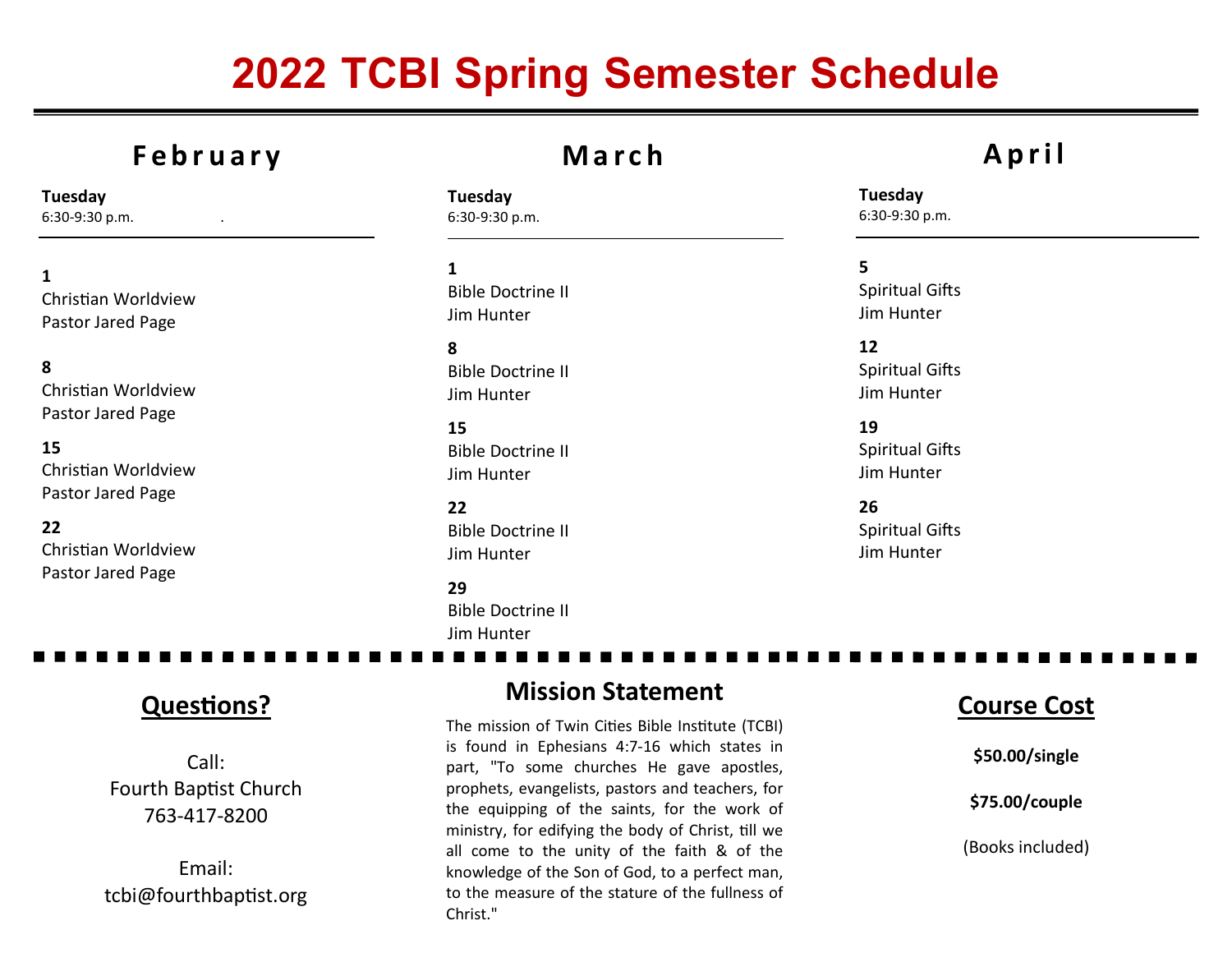# 2022 TCBI Spring Semester Schedule

### **February**

Tuesday 6:30-9:30 p.m. .

1 Christian Worldview Pastor Jared Page

8 Christian Worldview Pastor Jared Page

15 Christian Worldview Pastor Jared Page

22 Christian Worldview Pastor Jared Page

### <sup>M</sup> <sup>a</sup> <sup>r</sup> <sup>c</sup> <sup>h</sup>

Tuesday 6:30-9:30 p.m.

1 Bible Doctrine II Jim Hunter

8 Bible Doctrine II Jim Hunter

15 Bible Doctrine II Jim Hunter

22 Bible Doctrine II Jim Hunter

29 Bible Doctrine II Jim Hunter

## <sup>A</sup> <sup>p</sup> <sup>r</sup> <sup>i</sup> <sup>l</sup>

Tuesday 6:30-9:30 p.m.

5 **Spiritual Gifts** Jim Hunter

12 Spiritual Gifts Jim Hunter

19 Spiritual Gifts Jim Hunter

26Spiritual Gifts Jim Hunter

#### **Questions?**

Call: Fourth Baptist Church 763-417-8200

Email: tcbi@fourthbaptist.org

#### Mission Statement

The mission of Twin Cities Bible Institute (TCBI) is found in Ephesians 4:7-16 which states in part, "To some churches He gave apostles, prophets, evangelists, pastors and teachers, for the equipping of the saints, for the work of ministry, for edifying the body of Christ, till we all come to the unity of the faith & of the knowledge of the Son of God, to a perfect man, to the measure of the stature of the fullness of Christ."

#### Course Cost

\$50.00/single

\$75.00/couple

(Books included)